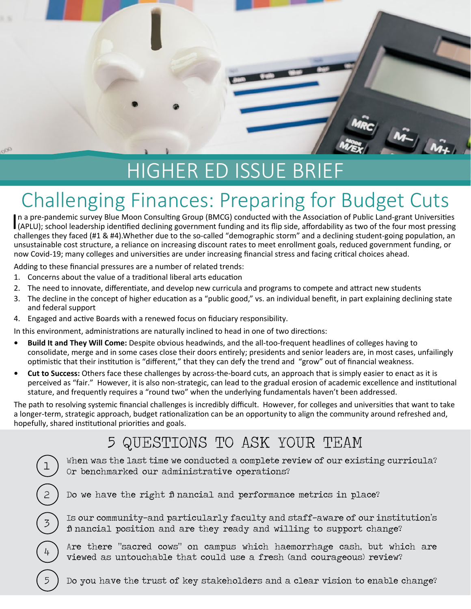# HIGHER ED ISSUE BRIEF

**DO** 

 $\frac{1}{\sqrt{2}}$ 

## Challenging Finances: Preparing for Budget Cuts

In a pre-pandemic survey Blue Moon Consulting Group (BMCG) conducted with the Association of Public Land-grant Universities (APLU); school leadership identified declining government funding and its flip side, affordability In a pre-pandemic survey Blue Moon Consulting Group (BMCG) conducted with the Association of Public Land-grant Universities challenges they faced (#1 & #4).Whether due to the so-called "demographic storm" and a declining student-going population, an unsustainable cost structure, a reliance on increasing discount rates to meet enrollment goals, reduced government funding, or now Covid-19; many colleges and universities are under increasing financial stress and facing critical choices ahead.

Adding to these financial pressures are a number of related trends:

- 1. Concerns about the value of a traditional liberal arts education
- 2. The need to innovate, differentiate, and develop new curricula and programs to compete and attract new students
- 3. The decline in the concept of higher education as a "public good," vs. an individual benefit, in part explaining declining state and federal support
- 4. Engaged and active Boards with a renewed focus on fiduciary responsibility.

In this environment, administrations are naturally inclined to head in one of two directions:

- **• Build It and They Will Come:** Despite obvious headwinds, and the all-too-frequent headlines of colleges having to consolidate, merge and in some cases close their doors entirely; presidents and senior leaders are, in most cases, unfailingly optimistic that their institution is "different," that they can defy the trend and "grow" out of financial weakness.
- **• Cut to Success:** Others face these challenges by across-the-board cuts, an approach that is simply easier to enact as it is perceived as "fair." However, it is also non-strategic, can lead to the gradual erosion of academic excellence and institutional stature, and frequently requires a "round two" when the underlying fundamentals haven't been addressed.

The path to resolving systemic financial challenges is incredibly difficult. However, for colleges and universities that want to take a longer-term, strategic approach, budget rationalization can be an opportunity to align the community around refreshed and, hopefully, shared institutional priorities and goals.

### 5 QUESTIONS TO ASK YOUR TEAM

When was the last time we conducted a complete review of our existing curricula? Or benchmarked our administrative operations?

2 Do we have the right financial and performance metrics in place?

Is our community-and particularly faculty and staff-aware of our institution's financial position and are they ready and willing to support change?

Are there "sacred cows" on campus which haemorrhage cash, but which are viewed as untouchable that could use a fresh (and courageous) review?

5 Do you have the trust of key stakeholders and a clear vision to enable change?